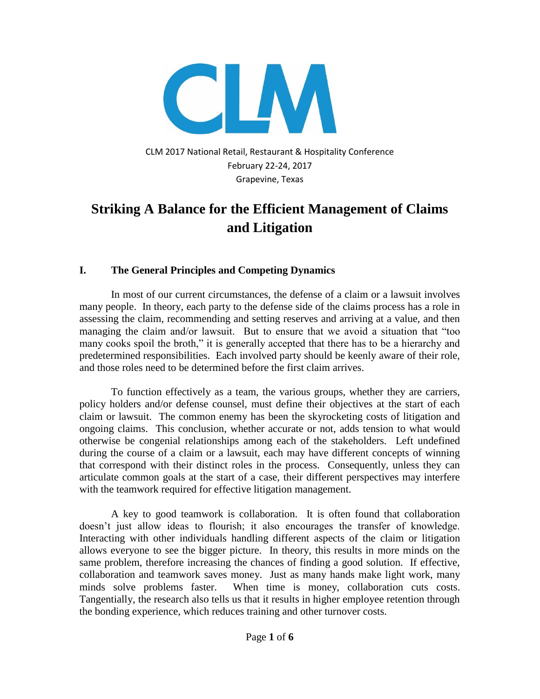

CLM 2017 National Retail, Restaurant & Hospitality Conference February 22-24, 2017 Grapevine, Texas

# **Striking A Balance for the Efficient Management of Claims and Litigation**

#### **I. The General Principles and Competing Dynamics**

In most of our current circumstances, the defense of a claim or a lawsuit involves many people. In theory, each party to the defense side of the claims process has a role in assessing the claim, recommending and setting reserves and arriving at a value, and then managing the claim and/or lawsuit. But to ensure that we avoid a situation that "too many cooks spoil the broth," it is generally accepted that there has to be a hierarchy and predetermined responsibilities. Each involved party should be keenly aware of their role, and those roles need to be determined before the first claim arrives.

To function effectively as a team, the various groups, whether they are carriers, policy holders and/or defense counsel, must define their objectives at the start of each claim or lawsuit. The common enemy has been the skyrocketing costs of litigation and ongoing claims. This conclusion, whether accurate or not, adds tension to what would otherwise be congenial relationships among each of the stakeholders. Left undefined during the course of a claim or a lawsuit, each may have different concepts of winning that correspond with their distinct roles in the process. Consequently, unless they can articulate common goals at the start of a case, their different perspectives may interfere with the teamwork required for effective litigation management.

A key to good teamwork is collaboration. It is often found that collaboration doesn't just allow ideas to flourish; it also encourages the transfer of knowledge. Interacting with other individuals handling different aspects of the claim or litigation allows everyone to see the bigger picture. In theory, this results in more minds on the same problem, therefore increasing the chances of finding a good solution. If effective, collaboration and teamwork saves money. Just as many hands make light work, many minds solve problems faster. When time is money, collaboration cuts costs. Tangentially, the research also tells us that it results in higher employee retention through the bonding experience, which reduces training and other turnover costs.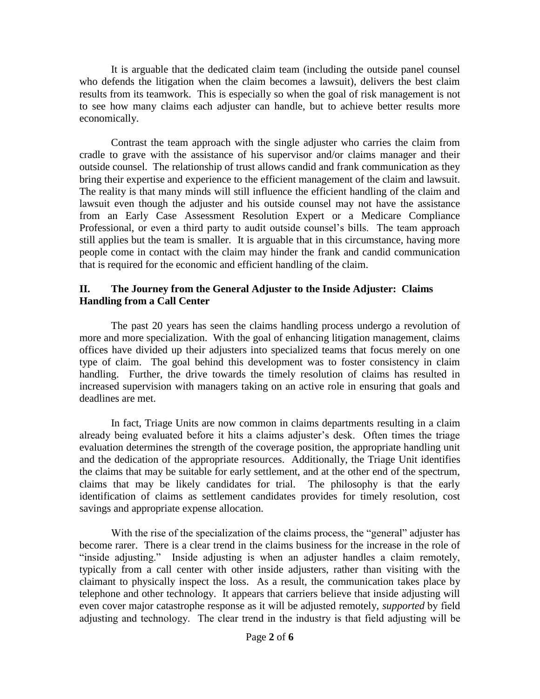It is arguable that the dedicated claim team (including the outside panel counsel who defends the litigation when the claim becomes a lawsuit), delivers the best claim results from its teamwork. This is especially so when the goal of risk management is not to see how many claims each adjuster can handle, but to achieve better results more economically.

Contrast the team approach with the single adjuster who carries the claim from cradle to grave with the assistance of his supervisor and/or claims manager and their outside counsel. The relationship of trust allows candid and frank communication as they bring their expertise and experience to the efficient management of the claim and lawsuit. The reality is that many minds will still influence the efficient handling of the claim and lawsuit even though the adjuster and his outside counsel may not have the assistance from an Early Case Assessment Resolution Expert or a Medicare Compliance Professional, or even a third party to audit outside counsel's bills. The team approach still applies but the team is smaller. It is arguable that in this circumstance, having more people come in contact with the claim may hinder the frank and candid communication that is required for the economic and efficient handling of the claim.

#### **II. The Journey from the General Adjuster to the Inside Adjuster: Claims Handling from a Call Center**

The past 20 years has seen the claims handling process undergo a revolution of more and more specialization. With the goal of enhancing litigation management, claims offices have divided up their adjusters into specialized teams that focus merely on one type of claim. The goal behind this development was to foster consistency in claim handling. Further, the drive towards the timely resolution of claims has resulted in increased supervision with managers taking on an active role in ensuring that goals and deadlines are met.

In fact, Triage Units are now common in claims departments resulting in a claim already being evaluated before it hits a claims adjuster's desk. Often times the triage evaluation determines the strength of the coverage position, the appropriate handling unit and the dedication of the appropriate resources. Additionally, the Triage Unit identifies the claims that may be suitable for early settlement, and at the other end of the spectrum, claims that may be likely candidates for trial. The philosophy is that the early identification of claims as settlement candidates provides for timely resolution, cost savings and appropriate expense allocation.

With the rise of the specialization of the claims process, the "general" adjuster has become rarer. There is a clear trend in the claims business for the increase in the role of "inside adjusting." Inside adjusting is when an adjuster handles a claim remotely, typically from a call center with other inside adjusters, rather than visiting with the claimant to physically inspect the loss. As a result, the communication takes place by telephone and other technology. It appears that carriers believe that inside adjusting will even cover major catastrophe response as it will be adjusted remotely, *supported by field adjusting and technology. The clear trend in the industry is that field adjusting will be*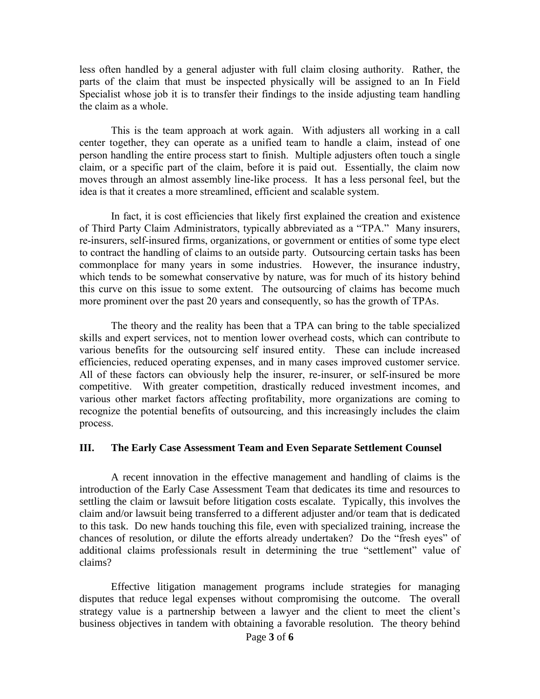less often handled by a general adjuster with full claim closing authority. Rather, the parts of the claim that must be inspected physically will be assigned to an In Field Specialist whose job it is to transfer their findings to the inside adjusting team handling *the claim as a whole.* 

This is the team approach at work again. With adjusters all working in a call *center together, they can operate as a unified team to handle a claim, instead of one person handling the entire process start to finish. Multiple adjusters often touch a single claim, or a specific part of the claim, before it is paid out. Essentially, the claim now*  moves through an almost assembly line-like process. It has a less personal feel, but the *idea is that it creates a more streamlined, efficient and scalable system.* 

*In fact, it is cost efficiencies that likely first explained the creation and existence of Third Party Claim Administrators, typically abbreviated as a "TPA." Many insurers, re-insurers, self-insured firms, organizations, or government or entities of some type elect to contract the handling of claims to an outside party. Outsourcing certain tasks has been commonplace for many years in some industries. However, the insurance industry,* which tends to be somewhat conservative by nature, was for much of its history behind *this curve on this issue to some extent. The outsourcing of claims has become much more prominent over the past 20 years and consequently, so has the growth of TPAs.* 

*The theory and the reality has been that a TPA can bring to the table specialized skills and expert services, not to mention lower overhead costs, which can contribute to various benefits for the outsourcing self insured entity. These can include increased efficiencies, reduced operating expenses, and in many cases improved customer service. All of these factors can obviously help the insurer, re-insurer, or self-insured be more competitive. With greater competition, drastically reduced investment incomes, and various other market factors affecting profitability, more organizations are coming to recognize the potential benefits of outsourcing, and this increasingly includes the claim process.* 

#### **III. The Early Case Assessment Team and Even Separate Settlement Counsel**

A recent innovation in the effective management and handling of claims is the introduction of the Early Case Assessment Team that dedicates its time and resources to settling the claim or lawsuit before litigation costs escalate. Typically, this involves the claim and/or lawsuit being transferred to a different adjuster and/or team that is dedicated to this task. Do new hands touching this file, even with specialized training, increase the chances of resolution, or dilute the efforts already undertaken? Do the "fresh eyes" of additional claims professionals result in determining the true "settlement" value of claims?

Effective litigation management programs include strategies for managing disputes that reduce legal expenses without compromising the outcome. The overall strategy value is a partnership between a lawyer and the client to meet the client's business objectives in tandem with obtaining a favorable resolution. The theory behind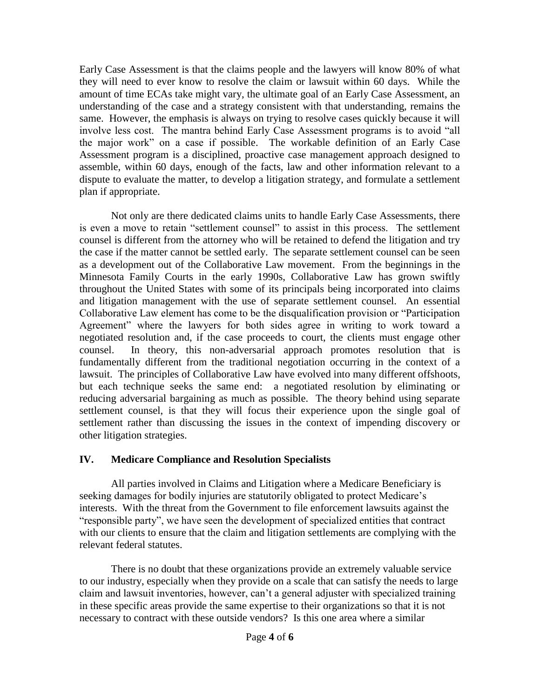Early Case Assessment is that the claims people and the lawyers will know 80% of what they will need to ever know to resolve the claim or lawsuit within 60 days. While the amount of time ECAs take might vary, the ultimate goal of an Early Case Assessment, an understanding of the case and a strategy consistent with that understanding, remains the same. However, the emphasis is always on trying to resolve cases quickly because it will involve less cost. The mantra behind Early Case Assessment programs is to avoid "all the major work" on a case if possible. The workable definition of an Early Case Assessment program is a disciplined, proactive case management approach designed to assemble, within 60 days, enough of the facts, law and other information relevant to a dispute to evaluate the matter, to develop a litigation strategy, and formulate a settlement plan if appropriate.

Not only are there dedicated claims units to handle Early Case Assessments, there is even a move to retain "settlement counsel" to assist in this process. The settlement counsel is different from the attorney who will be retained to defend the litigation and try the case if the matter cannot be settled early. The separate settlement counsel can be seen as a development out of the Collaborative Law movement. From the beginnings in the Minnesota Family Courts in the early 1990s, Collaborative Law has grown swiftly throughout the United States with some of its principals being incorporated into claims and litigation management with the use of separate settlement counsel. An essential Collaborative Law element has come to be the disqualification provision or "Participation Agreement" where the lawyers for both sides agree in writing to work toward a negotiated resolution and, if the case proceeds to court, the clients must engage other counsel. In theory, this non-adversarial approach promotes resolution that is fundamentally different from the traditional negotiation occurring in the context of a lawsuit. The principles of Collaborative Law have evolved into many different offshoots, but each technique seeks the same end: a negotiated resolution by eliminating or reducing adversarial bargaining as much as possible. The theory behind using separate settlement counsel, is that they will focus their experience upon the single goal of settlement rather than discussing the issues in the context of impending discovery or other litigation strategies.

#### **IV. Medicare Compliance and Resolution Specialists**

All parties involved in Claims and Litigation where a Medicare Beneficiary is seeking damages for bodily injuries are statutorily obligated to protect Medicare's interests. With the threat from the Government to file enforcement lawsuits against the "responsible party", we have seen the development of specialized entities that contract with our clients to ensure that the claim and litigation settlements are complying with the relevant federal statutes.

There is no doubt that these organizations provide an extremely valuable service to our industry, especially when they provide on a scale that can satisfy the needs to large claim and lawsuit inventories, however, can't a general adjuster with specialized training in these specific areas provide the same expertise to their organizations so that it is not necessary to contract with these outside vendors? Is this one area where a similar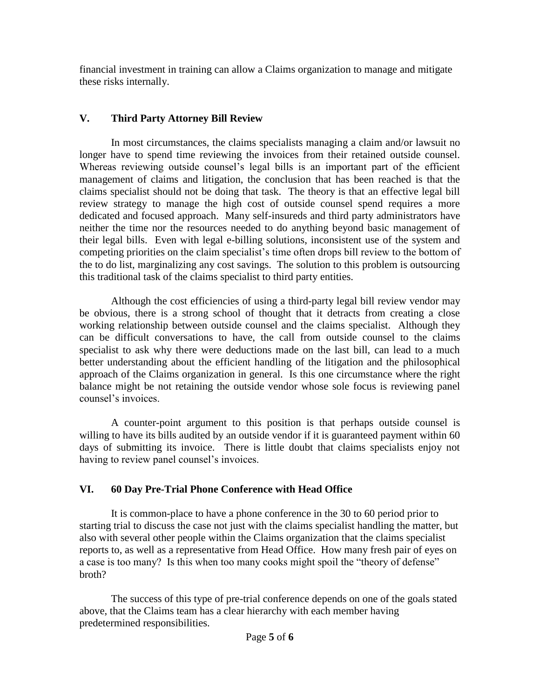financial investment in training can allow a Claims organization to manage and mitigate these risks internally.

## **V. Third Party Attorney Bill Review**

In most circumstances, the claims specialists managing a claim and/or lawsuit no longer have to spend time reviewing the invoices from their retained outside counsel. Whereas reviewing outside counsel's legal bills is an important part of the efficient management of claims and litigation, the conclusion that has been reached is that the claims specialist should not be doing that task. The theory is that an effective legal bill review strategy to manage the high cost of outside counsel spend requires a more dedicated and focused approach. Many self-insureds and third party administrators have neither the time nor the resources needed to do anything beyond basic management of their legal bills. Even with legal e-billing solutions, inconsistent use of the system and competing priorities on the claim specialist's time often drops bill review to the bottom of the to do list, marginalizing any cost savings. The solution to this problem is outsourcing this traditional task of the claims specialist to third party entities.

Although the cost efficiencies of using a third-party legal bill review vendor may be obvious, there is a strong school of thought that it detracts from creating a close working relationship between outside counsel and the claims specialist. Although they can be difficult conversations to have, the call from outside counsel to the claims specialist to ask why there were deductions made on the last bill, can lead to a much better understanding about the efficient handling of the litigation and the philosophical approach of the Claims organization in general. Is this one circumstance where the right balance might be not retaining the outside vendor whose sole focus is reviewing panel counsel's invoices.

A counter-point argument to this position is that perhaps outside counsel is willing to have its bills audited by an outside vendor if it is guaranteed payment within 60 days of submitting its invoice. There is little doubt that claims specialists enjoy not having to review panel counsel's invoices.

## **VI. 60 Day Pre-Trial Phone Conference with Head Office**

It is common-place to have a phone conference in the 30 to 60 period prior to starting trial to discuss the case not just with the claims specialist handling the matter, but also with several other people within the Claims organization that the claims specialist reports to, as well as a representative from Head Office. How many fresh pair of eyes on a case is too many? Is this when too many cooks might spoil the "theory of defense" broth?

The success of this type of pre-trial conference depends on one of the goals stated above, that the Claims team has a clear hierarchy with each member having predetermined responsibilities.